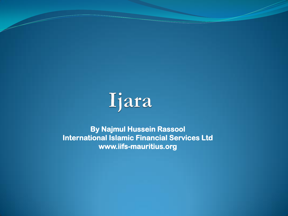

**By Najmul Hussein Rassool International Islamic Financial Services Ltd www.iifs-mauritius.org**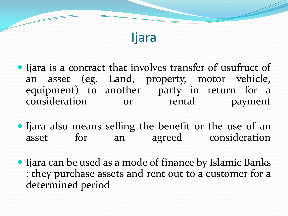#### Ijara

- Ijara is a contract that involves transfer of usufruct of an asset (eg. Land, property, motor vehicle, equipment) to another party in return for a consideration or rental payment
- Ijara also means selling the benefit or the use of an asset for an agreed consideration
- Ijara can be used as a mode of finance by Islamic Banks : they purchase assets and rent out to a customer for a determined period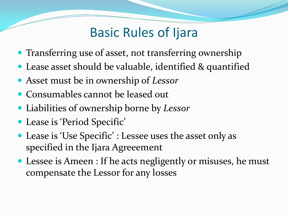### Basic Rules of Ijara

- Transferring use of asset, not transferring ownership
- Lease asset should be valuable, identified & quantified
- Asset must be in ownership of *Lessor*
- Consumables cannot be leased out
- Liabilities of ownership borne by *Lessor*
- Lease is 'Period Specific'
- Lease is 'Use Specific' : Lessee uses the asset only as specified in the Ijara Agreeement
- Lessee is Ameen : If he acts negligently or misuses, he must compensate the Lessor for any losses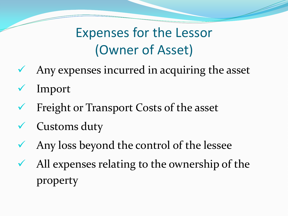# Expenses for the Lessor (Owner of Asset)

- $\sqrt{\phantom{a}}$  Any expenses incurred in acquiring the asset
- Import
- Freight or Transport Costs of the asset
- $\checkmark$  Customs duty
- Any loss beyond the control of the lessee
- All expenses relating to the ownership of the property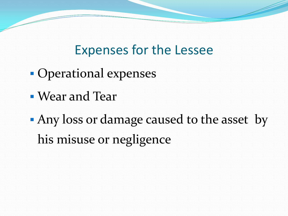## Expenses for the Lessee

- Operational expenses
- Wear and Tear
- **Any loss or damage caused to the asset by** his misuse or negligence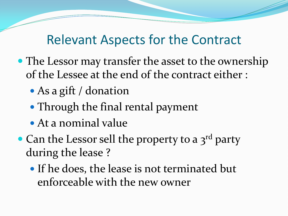#### Relevant Aspects for the Contract

- The Lessor may transfer the asset to the ownership of the Lessee at the end of the contract either :
	- As a gift / donation
	- Through the final rental payment
	- At a nominal value
- Can the Lessor sell the property to a 3<sup>rd</sup> party during the lease ?
	- If he does, the lease is not terminated but enforceable with the new owner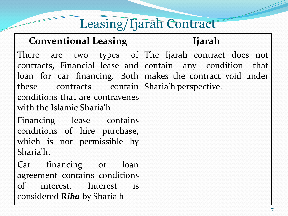#### Leasing/Ijarah Contract

| <b>Conventional Leasing</b> |  |
|-----------------------------|--|
|-----------------------------|--|

#### **Conventional Leasing Ijarah**

these contracts contain Sharia'h perspective.conditions that are contravenes with the Islamic Sharia'h.

Financing lease contains conditions of hire purchase, which is not permissible by Sharia'h.

Car financing or loan agreement contains conditions of interest. Interest is considered **R***iba* by Sharia'h

There are two types of|The-Ijarah contract does not contracts, Financial lease and contain any condition that loan for car financing. Both|makes the contract void under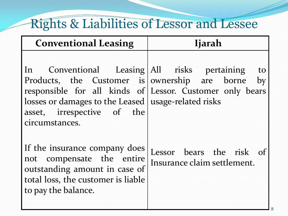## Rights & Liabilities of Lessor and Lessee

| <b>Conventional Leasing</b>                                                                                                                                                                                                                                             | <b>Ijarah</b>                                           |
|-------------------------------------------------------------------------------------------------------------------------------------------------------------------------------------------------------------------------------------------------------------------------|---------------------------------------------------------|
| In Conventional Leasing All risks pertaining<br>Products, the Customer is   ownership are borne by<br>responsible for all kinds of Lessor. Customer only bears<br>losses or damages to the Leased   usage-related risks<br>asset, irrespective of the<br>circumstances. | to                                                      |
| If the insurance company does<br>not compensate the entire<br>outstanding amount in case of<br>total loss, the customer is liable<br>to pay the balance.                                                                                                                | Lessor bears the risk of<br>Insurance claim settlement. |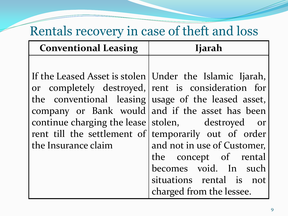## Rentals recovery in case of theft and loss

| <b>Conventional Leasing</b> | <b>Ijarah</b>                                                                                                                                                                                                      |
|-----------------------------|--------------------------------------------------------------------------------------------------------------------------------------------------------------------------------------------------------------------|
|                             | If the Leased Asset is stolen   Under the Islamic Ijarah,<br>or completely destroyed, rent is consideration for                                                                                                    |
|                             | the conventional leasing usage of the leased asset,<br>company or Bank would and if the asset has been<br>continue charging the lease stolen, destroyed or<br>rent till the settlement of temporarily out of order |
| the Insurance claim         | and not in use of Customer,<br>the concept of rental<br>becomes void. In such<br>situations rental is not<br>charged from the lessee.                                                                              |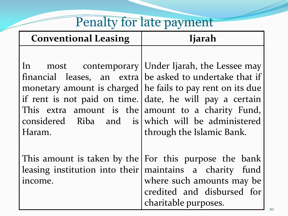# Penalty for late payment

| <b>Conventional Leasing</b>                                  | <b>Ijarah</b>                                                                                                                                                                   |
|--------------------------------------------------------------|---------------------------------------------------------------------------------------------------------------------------------------------------------------------------------|
| if rent is not paid on time. date, he will pay a certain     | In most contemporary Under Ijarah, the Lessee may<br>financial leases, an extra   be asked to undertake that if<br>monetary amount is charged   he fails to pay rent on its due |
| This extra amount is the amount to a charity Fund,<br>Haram. | considered Riba and is which will be administered<br>through the Islamic Bank.                                                                                                  |
| leasing institution into their<br>income.                    | This amount is taken by the $ For this purpose the bank$<br>maintains a charity fund<br>where such amounts may be<br>credited and disbursed for<br>charitable purposes.         |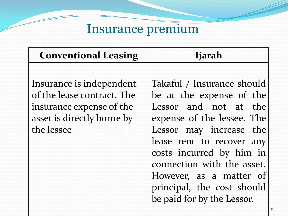# Insurance premium

| <b>Conventional Leasing</b> | <b>Ijarah</b>              |
|-----------------------------|----------------------------|
|                             |                            |
| Insurance is independent    | Takaful / Insurance should |
| of the lease contract. The  | be at the expense of the   |
| insurance expense of the    | Lessor and not at the      |
| asset is directly borne by  | expense of the lessee. The |
| the lessee                  | Lessor may increase the    |
|                             | lease rent to recover any  |
|                             | costs incurred by him in   |
|                             | connection with the asset. |
|                             | However, as a matter of    |
|                             | principal, the cost should |
|                             | be paid for by the Lessor. |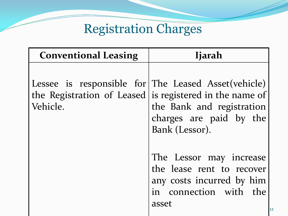# Registration Charges

| <b>Conventional Leasing</b>                                      | <b>Ijarah</b>                                                                                                                     |
|------------------------------------------------------------------|-----------------------------------------------------------------------------------------------------------------------------------|
| Lessee is responsible for The Leased Asset (vehicle)<br>Vehicle. | the Registration of Leased is registered in the name of<br>the Bank and registration<br>charges are paid by the<br>Bank (Lessor). |
|                                                                  | The Lessor may increase<br>the lease rent to recover<br>any costs incurred by him<br>in connection with the<br>asset              |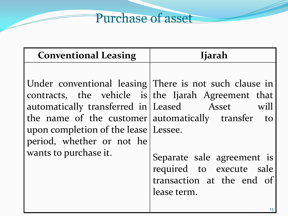#### Purchase of asset

|                                                                                                                                                                                                                                                                                                                                                                                                                                   | <b>Conventional Leasing</b> | <b>Ijarah</b> |
|-----------------------------------------------------------------------------------------------------------------------------------------------------------------------------------------------------------------------------------------------------------------------------------------------------------------------------------------------------------------------------------------------------------------------------------|-----------------------------|---------------|
| Under conventional leasing There is not such clause in<br>contracts, the vehicle is the Ijarah Agreement that<br>automatically transferred in Leased Asset will<br>the name of the customer automatically transfer to<br>upon completion of the lease   Lessee.<br>period, whether or not he<br>wants to purchase it.<br>Separate sale agreement is<br>required to execute sale<br>transaction at the end of<br>lease term.<br>13 |                             |               |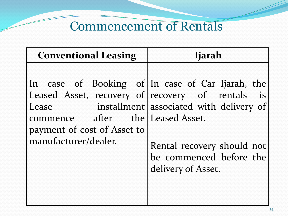### Commencement of Rentals

| <b>Conventional Leasing</b>                                                                                                                                                                              | <b>Ijarah</b>                                                                                                          |
|----------------------------------------------------------------------------------------------------------------------------------------------------------------------------------------------------------|------------------------------------------------------------------------------------------------------------------------|
| In case of Booking of In case of Car Ijarah, the<br>Leased Asset, recovery of recovery of rentals is<br>Lease<br>commence after the Leased Asset.<br>payment of cost of Asset to<br>manufacturer/dealer. | installment associated with delivery of<br>Rental recovery should not<br>be commenced before the<br>delivery of Asset. |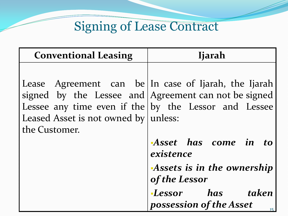# Signing of Lease Contract

| <b>Conventional Leasing</b>                           | <b>Ijarah</b>                                                                                                                                                            |
|-------------------------------------------------------|--------------------------------------------------------------------------------------------------------------------------------------------------------------------------|
| Leased Asset is not owned by unless:<br>the Customer. | Lease Agreement can be In case of Ijarah, the Ijarah<br>signed by the Lessee and $ $ Agreement can not be signed<br>Lessee any time even if the by the Lessor and Lessee |
|                                                       | Asset has come in to<br>existence                                                                                                                                        |
|                                                       | Assets is in the ownership<br>of the Lessor                                                                                                                              |
|                                                       | <b>Lessor</b> has taken<br>possession of the Asset<br>15                                                                                                                 |